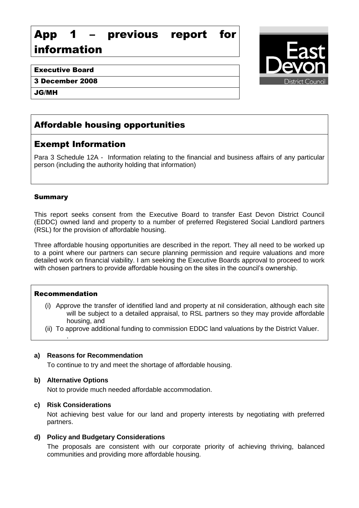# App 1 – previous report for information

# Executive Board

3 December 2008

JG/MH

# Affordable housing opportunities

# Exempt Information

Para 3 Schedule 12A - Information relating to the financial and business affairs of any particular person (including the authority holding that information)

# Summary

This report seeks consent from the Executive Board to transfer East Devon District Council (EDDC) owned land and property to a number of preferred Registered Social Landlord partners (RSL) for the provision of affordable housing.

Three affordable housing opportunities are described in the report. They all need to be worked up to a point where our partners can secure planning permission and require valuations and more detailed work on financial viability. I am seeking the Executive Boards approval to proceed to work with chosen partners to provide affordable housing on the sites in the council's ownership.

# Recommendation

.

- (i) Approve the transfer of identified land and property at nil consideration, although each site will be subject to a detailed appraisal, to RSL partners so they may provide affordable housing, and
- (ii) To approve additional funding to commission EDDC land valuations by the District Valuer.

# **a) Reasons for Recommendation**

To continue to try and meet the shortage of affordable housing.

# **b) Alternative Options**

Not to provide much needed affordable accommodation.

#### **c) Risk Considerations**

Not achieving best value for our land and property interests by negotiating with preferred partners.

# **d) Policy and Budgetary Considerations**

The proposals are consistent with our corporate priority of achieving thriving, balanced communities and providing more affordable housing.

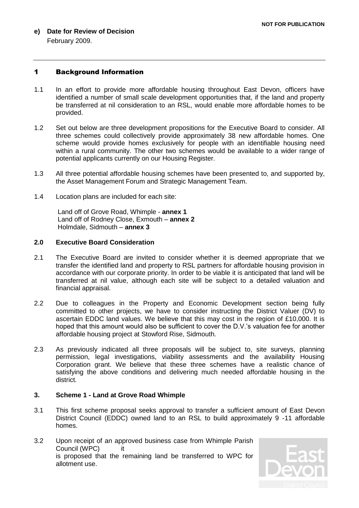**e) Date for Review of Decision** February 2009.

#### 1 Background Information

- 1.1 In an effort to provide more affordable housing throughout East Devon, officers have identified a number of small scale development opportunities that, if the land and property be transferred at nil consideration to an RSL, would enable more affordable homes to be provided.
- 1.2 Set out below are three development propositions for the Executive Board to consider. All three schemes could collectively provide approximately 38 new affordable homes. One scheme would provide homes exclusively for people with an identifiable housing need within a rural community. The other two schemes would be available to a wider range of potential applicants currently on our Housing Register.
- 1.3 All three potential affordable housing schemes have been presented to, and supported by, the Asset Management Forum and Strategic Management Team.
- 1.4 Location plans are included for each site:

Land off of Grove Road, Whimple - **annex 1** Land off of Rodney Close, Exmouth – **annex 2** Holmdale, Sidmouth – **annex 3**

#### **2.0 Executive Board Consideration**

- 2.1 The Executive Board are invited to consider whether it is deemed appropriate that we transfer the identified land and property to RSL partners for affordable housing provision in accordance with our corporate priority. In order to be viable it is anticipated that land will be transferred at nil value, although each site will be subject to a detailed valuation and financial appraisal.
- 2.2 Due to colleagues in the Property and Economic Development section being fully committed to other projects, we have to consider instructing the District Valuer (DV) to ascertain EDDC land values. We believe that this may cost in the region of £10,000. It is hoped that this amount would also be sufficient to cover the D.V.'s valuation fee for another affordable housing project at Stowford Rise, Sidmouth.
- 2.3 As previously indicated all three proposals will be subject to, site surveys, planning permission, legal investigations, viability assessments and the availability Housing Corporation grant. We believe that these three schemes have a realistic chance of satisfying the above conditions and delivering much needed affordable housing in the district.

#### **3. Scheme 1 - Land at Grove Road Whimple**

- 3.1 This first scheme proposal seeks approval to transfer a sufficient amount of East Devon District Council (EDDC) owned land to an RSL to build approximately 9 -11 affordable homes.
- 3.2 Upon receipt of an approved business case from Whimple Parish Council (WPC) it is proposed that the remaining land be transferred to WPC for allotment use.

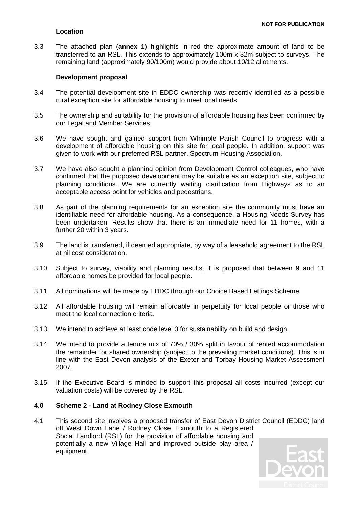### **Location**

3.3 The attached plan (**annex 1**) highlights in red the approximate amount of land to be transferred to an RSL. This extends to approximately 100m x 32m subject to surveys. The remaining land (approximately 90/100m) would provide about 10/12 allotments.

#### **Development proposal**

- 3.4 The potential development site in EDDC ownership was recently identified as a possible rural exception site for affordable housing to meet local needs.
- 3.5 The ownership and suitability for the provision of affordable housing has been confirmed by our Legal and Member Services.
- 3.6 We have sought and gained support from Whimple Parish Council to progress with a development of affordable housing on this site for local people. In addition, support was given to work with our preferred RSL partner, Spectrum Housing Association.
- 3.7 We have also sought a planning opinion from Development Control colleagues, who have confirmed that the proposed development may be suitable as an exception site, subject to planning conditions. We are currently waiting clarification from Highways as to an acceptable access point for vehicles and pedestrians.
- 3.8 As part of the planning requirements for an exception site the community must have an identifiable need for affordable housing. As a consequence, a Housing Needs Survey has been undertaken. Results show that there is an immediate need for 11 homes, with a further 20 within 3 years.
- 3.9 The land is transferred, if deemed appropriate, by way of a leasehold agreement to the RSL at nil cost consideration.
- 3.10 Subject to survey, viability and planning results, it is proposed that between 9 and 11 affordable homes be provided for local people.
- 3.11 All nominations will be made by EDDC through our Choice Based Lettings Scheme.
- 3.12 All affordable housing will remain affordable in perpetuity for local people or those who meet the local connection criteria.
- 3.13 We intend to achieve at least code level 3 for sustainability on build and design.
- 3.14 We intend to provide a tenure mix of 70% / 30% split in favour of rented accommodation the remainder for shared ownership (subject to the prevailing market conditions). This is in line with the East Devon analysis of the Exeter and Torbay Housing Market Assessment 2007.
- 3.15 If the Executive Board is minded to support this proposal all costs incurred (except our valuation costs) will be covered by the RSL.

#### **4.0 Scheme 2 - Land at Rodney Close Exmouth**

4.1 This second site involves a proposed transfer of East Devon District Council (EDDC) land off West Down Lane / Rodney Close, Exmouth to a Registered Social Landlord (RSL) for the provision of affordable housing and potentially a new Village Hall and improved outside play area / equipment.

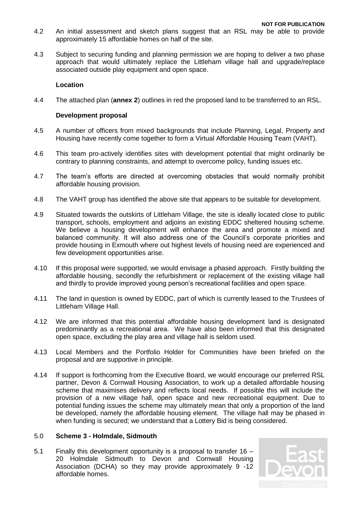- 4.2 An initial assessment and sketch plans suggest that an RSL may be able to provide approximately 15 affordable homes on half of the site.
- 4.3 Subject to securing funding and planning permission we are hoping to deliver a two phase approach that would ultimately replace the Littleham village hall and upgrade/replace associated outside play equipment and open space.

#### **Location**

4.4 The attached plan (**annex 2**) outlines in red the proposed land to be transferred to an RSL.

#### **Development proposal**

- 4.5 A number of officers from mixed backgrounds that include Planning, Legal, Property and Housing have recently come together to form a Virtual Affordable Housing Team (VAHT).
- 4.6 This team pro-actively identifies sites with development potential that might ordinarily be contrary to planning constraints, and attempt to overcome policy, funding issues etc.
- 4.7 The team's efforts are directed at overcoming obstacles that would normally prohibit affordable housing provision.
- 4.8 The VAHT group has identified the above site that appears to be suitable for development.
- 4.9 Situated towards the outskirts of Littleham Village, the site is ideally located close to public transport, schools, employment and adjoins an existing EDDC sheltered housing scheme. We believe a housing development will enhance the area and promote a mixed and balanced community. It will also address one of the Council's corporate priorities and provide housing in Exmouth where out highest levels of housing need are experienced and few development opportunities arise.
- 4.10 If this proposal were supported, we would envisage a phased approach. Firstly building the affordable housing, secondly the refurbishment or replacement of the existing village hall and thirdly to provide improved young person's recreational facilities and open space.
- 4.11 The land in question is owned by EDDC, part of which is currently leased to the Trustees of Littleham Village Hall.
- 4.12 We are informed that this potential affordable housing development land is designated predominantly as a recreational area. We have also been informed that this designated open space, excluding the play area and village hall is seldom used.
- 4.13 Local Members and the Portfolio Holder for Communities have been briefed on the proposal and are supportive in principle.
- 4.14 If support is forthcoming from the Executive Board, we would encourage our preferred RSL partner, Devon & Cornwall Housing Association, to work up a detailed affordable housing scheme that maximises delivery and reflects local needs. If possible this will include the provision of a new village hall, open space and new recreational equipment. Due to potential funding issues the scheme may ultimately mean that only a proportion of the land be developed, namely the affordable housing element. The village hall may be phased in when funding is secured; we understand that a Lottery Bid is being considered.

#### 5.0 **Scheme 3 - Holmdale, Sidmouth**

5.1 Finally this development opportunity is a proposal to transfer 16 – 20 Holmdale Sidmouth to Devon and Cornwall Housing Association (DCHA) so they may provide approximately 9 -12 affordable homes.

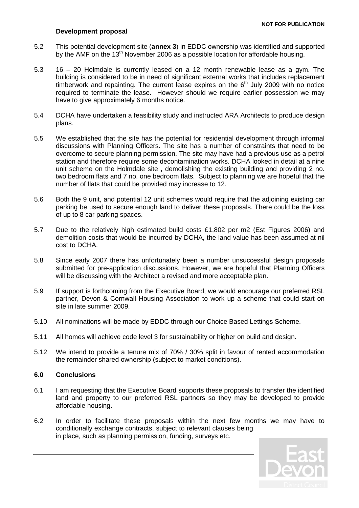#### **Development proposal**

- 5.2 This potential development site (**annex 3**) in EDDC ownership was identified and supported by the AMF on the 13<sup>th</sup> November 2006 as a possible location for affordable housing.
- 5.3 16 20 Holmdale is currently leased on a 12 month renewable lease as a gym. The building is considered to be in need of significant external works that includes replacement timberwork and repainting. The current lease expires on the  $6<sup>th</sup>$  July 2009 with no notice required to terminate the lease. However should we require earlier possession we may have to give approximately 6 months notice.
- 5.4 DCHA have undertaken a feasibility study and instructed ARA Architects to produce design plans.
- 5.5 We established that the site has the potential for residential development through informal discussions with Planning Officers. The site has a number of constraints that need to be overcome to secure planning permission. The site may have had a previous use as a petrol station and therefore require some decontamination works. DCHA looked in detail at a nine unit scheme on the Holmdale site , demolishing the existing building and providing 2 no. two bedroom flats and 7 no. one bedroom flats. Subject to planning we are hopeful that the number of flats that could be provided may increase to 12.
- 5.6 Both the 9 unit, and potential 12 unit schemes would require that the adjoining existing car parking be used to secure enough land to deliver these proposals. There could be the loss of up to 8 car parking spaces.
- 5.7 Due to the relatively high estimated build costs £1,802 per m2 (Est Figures 2006) and demolition costs that would be incurred by DCHA, the land value has been assumed at nil cost to DCHA.
- 5.8 Since early 2007 there has unfortunately been a number unsuccessful design proposals submitted for pre-application discussions. However, we are hopeful that Planning Officers will be discussing with the Architect a revised and more acceptable plan.
- 5.9 If support is forthcoming from the Executive Board, we would encourage our preferred RSL partner, Devon & Cornwall Housing Association to work up a scheme that could start on site in late summer 2009.
- 5.10 All nominations will be made by EDDC through our Choice Based Lettings Scheme.
- 5.11 All homes will achieve code level 3 for sustainability or higher on build and design.
- 5.12 We intend to provide a tenure mix of 70% / 30% split in favour of rented accommodation the remainder shared ownership (subject to market conditions).

#### **6.0 Conclusions**

- 6.1 I am requesting that the Executive Board supports these proposals to transfer the identified land and property to our preferred RSL partners so they may be developed to provide affordable housing.
- 6.2 In order to facilitate these proposals within the next few months we may have to conditionally exchange contracts, subject to relevant clauses being in place, such as planning permission, funding, surveys etc.